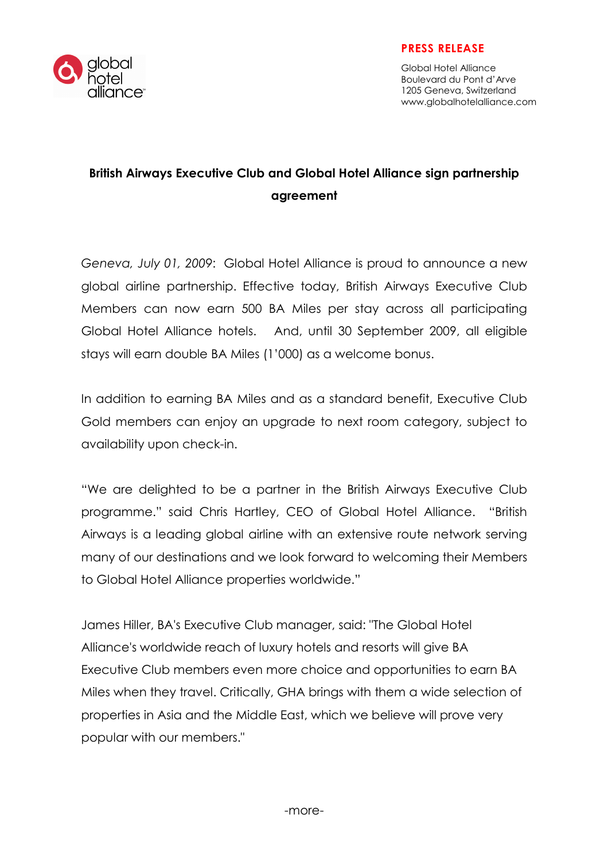

Global Hotel Alliance Boulevard du Pont d'Arve 1205 Geneva, Switzerland www.globalhotelalliance.com

## British Airways Executive Club and Global Hotel Alliance sign partnership agreement

Geneva, July 01, 2009: Global Hotel Alliance is proud to announce a new global airline partnership. Effective today, British Airways Executive Club Members can now earn 500 BA Miles per stay across all participating Global Hotel Alliance hotels. And, until 30 September 2009, all eligible stays will earn double BA Miles (1'000) as a welcome bonus.

In addition to earning BA Miles and as a standard benefit, Executive Club Gold members can enjoy an upgrade to next room category, subject to availability upon check-in.

"We are delighted to be a partner in the British Airways Executive Club programme." said Chris Hartley, CEO of Global Hotel Alliance. "British Airways is a leading global airline with an extensive route network serving many of our destinations and we look forward to welcoming their Members to Global Hotel Alliance properties worldwide."

James Hiller, BA's Executive Club manager, said: "The Global Hotel Alliance's worldwide reach of luxury hotels and resorts will give BA Executive Club members even more choice and opportunities to earn BA Miles when they travel. Critically, GHA brings with them a wide selection of properties in Asia and the Middle East, which we believe will prove very popular with our members."